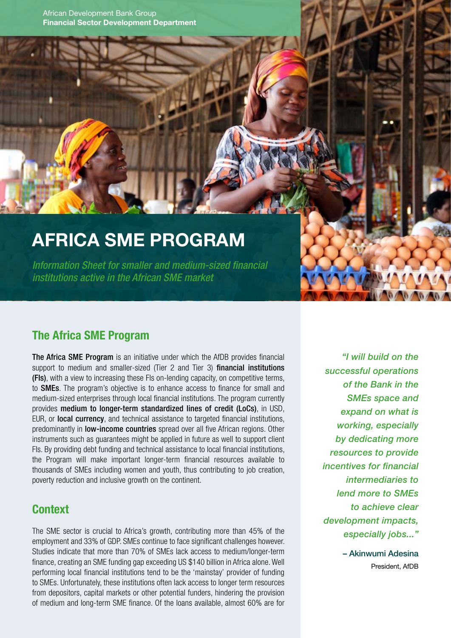African Development Bank Group Financial Sector Development Department

# AFRICA SME PROGRAM

*Information Sheet for smaller and medium-sized financial institutions active in the African SME market*

#### The Africa SME Program

The Africa SME Program is an initiative under which the AfDB provides financial support to medium and smaller-sized (Tier 2 and Tier 3) **financial institutions** (FIs), with a view to increasing these FIs on-lending capacity, on competitive terms, to SMEs. The program's objective is to enhance access to finance for small and medium-sized enterprises through local financial institutions. The program currently provides medium to longer-term standardized lines of credit (LoCs), in USD, EUR, or local currency, and technical assistance to targeted financial institutions, predominantly in **low-income countries** spread over all five African regions. Other instruments such as guarantees might be applied in future as well to support client FIs. By providing debt funding and technical assistance to local financial institutions, the Program will make important longer-term financial resources available to thousands of SMEs including women and youth, thus contributing to job creation, poverty reduction and inclusive growth on the continent.

#### **Context**

The SME sector is crucial to Africa's growth, contributing more than 45% of the employment and 33% of GDP. SMEs continue to face significant challenges however. Studies indicate that more than 70% of SMEs lack access to medium/longer-term finance, creating an SME funding gap exceeding US \$140 billion in Africa alone. Well performing local financial institutions tend to be the 'mainstay' provider of funding to SMEs. Unfortunately, these institutions often lack access to longer term resources from depositors, capital markets or other potential funders, hindering the provision of medium and long-term SME finance. Of the loans available, almost 60% are for

*"I will build on the successful operations of the Bank in the SMEs space and expand on what is working, especially by dedicating more resources to provide incentives for financial intermediaries to lend more to SMEs to achieve clear development impacts, especially jobs..."*

> – Akinwumi Adesina President, AfDB